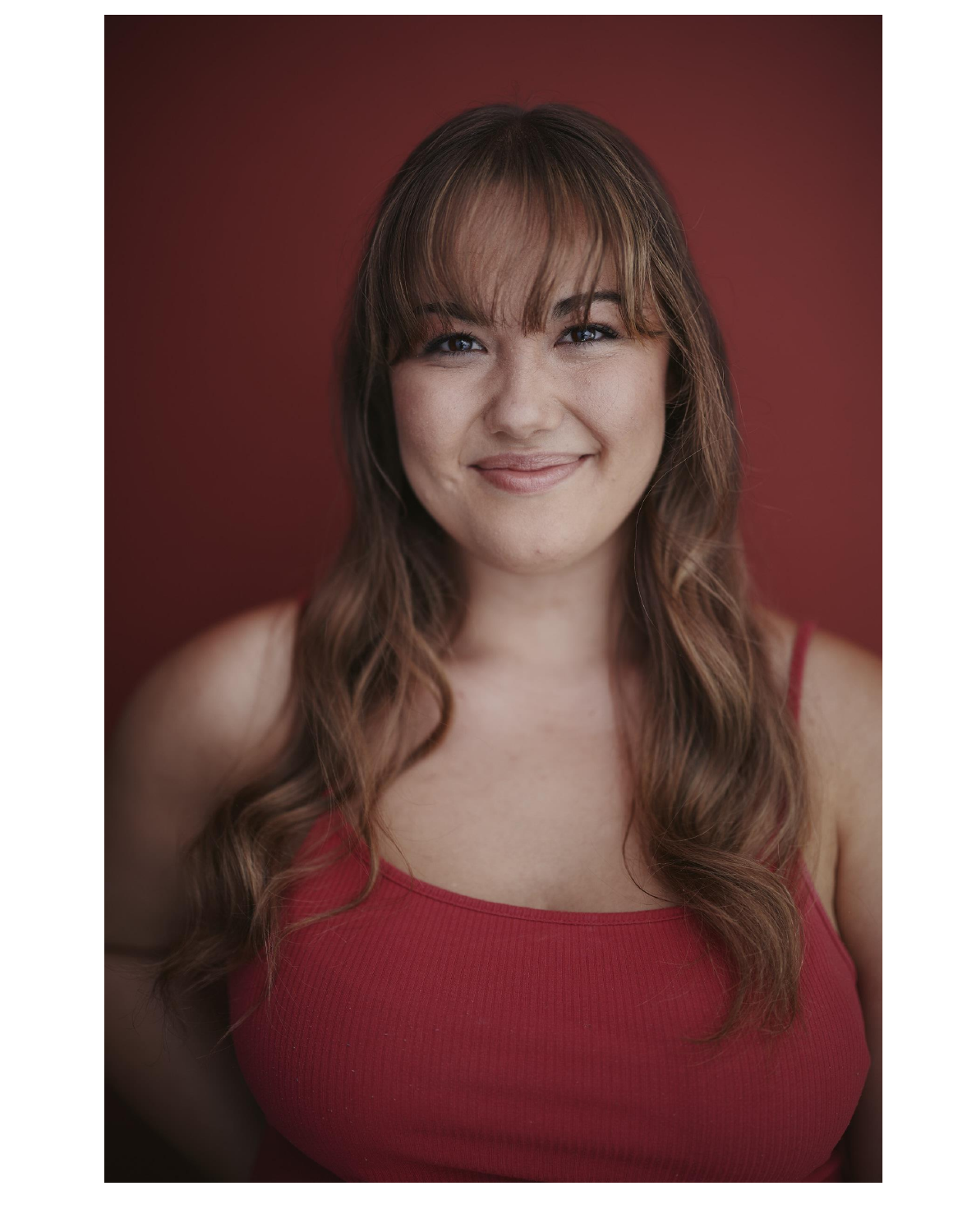